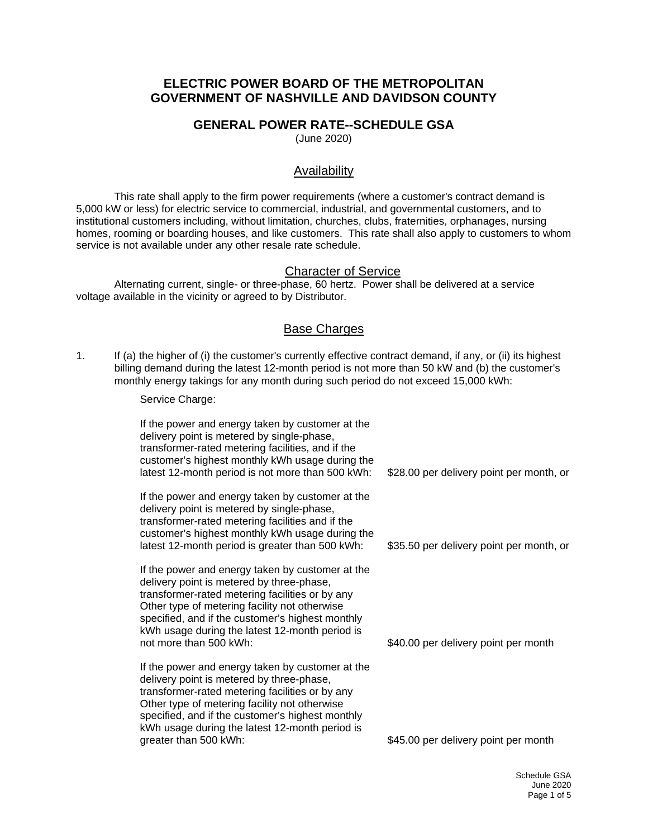# **ELECTRIC POWER BOARD OF THE METROPOLITAN GOVERNMENT OF NASHVILLE AND DAVIDSON COUNTY**

## **GENERAL POWER RATE--SCHEDULE GSA**

(June 2020)

## Availability

This rate shall apply to the firm power requirements (where a customer's contract demand is 5,000 kW or less) for electric service to commercial, industrial, and governmental customers, and to institutional customers including, without limitation, churches, clubs, fraternities, orphanages, nursing homes, rooming or boarding houses, and like customers. This rate shall also apply to customers to whom service is not available under any other resale rate schedule.

#### Character of Service

Alternating current, single- or three-phase, 60 hertz. Power shall be delivered at a service voltage available in the vicinity or agreed to by Distributor.

#### Base Charges

1. If (a) the higher of (i) the customer's currently effective contract demand, if any, or (ii) its highest billing demand during the latest 12-month period is not more than 50 kW and (b) the customer's monthly energy takings for any month during such period do not exceed 15,000 kWh:

Service Charge:

If the power and energy taken by customer at the delivery point is metered by single-phase, transformer-rated metering facilities, and if the customer's highest monthly kWh usage during the latest 12-month period is not more than 500 kWh: If the power and energy taken by customer at the delivery point is metered by single-phase, transformer-rated metering facilities and if the customer's highest monthly kWh usage during the latest 12-month period is greater than 500 kWh: If the power and energy taken by customer at the delivery point is metered by three-phase, transformer-rated metering facilities or by any Other type of metering facility not otherwise specified, and if the customer's highest monthly kWh usage during the latest 12-month period is not more than 500 kWh: If the power and energy taken by customer at the delivery point is metered by three-phase, transformer-rated metering facilities or by any Other type of metering facility not otherwise specified, and if the customer's highest monthly kWh usage during the latest 12-month period is greater than 500 kWh: \$28.00 per delivery point per month, or \$35.50 per delivery point per month, or \$40.00 per delivery point per month \$45.00 per delivery point per month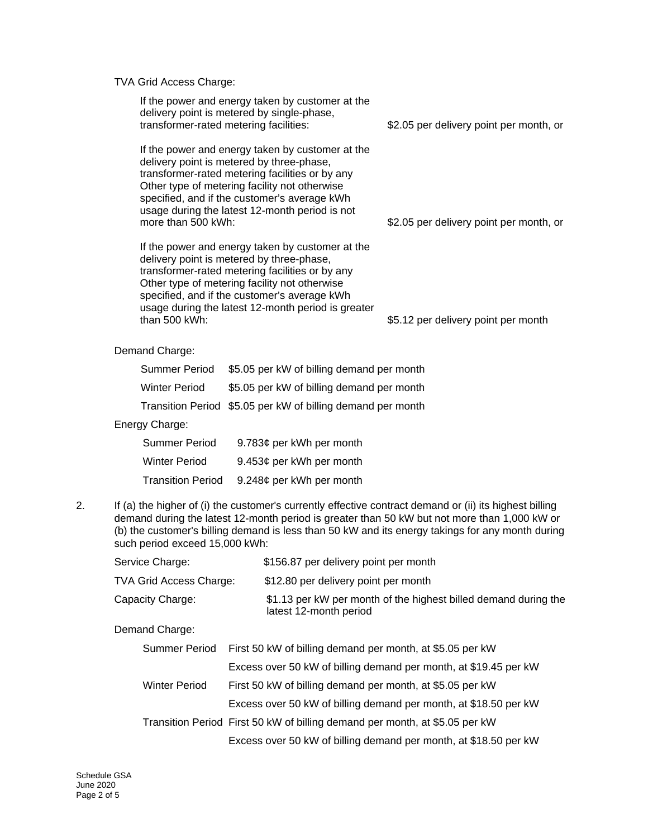TVA Grid Access Charge:

| If the power and energy taken by customer at the<br>delivery point is metered by single-phase,<br>transformer-rated metering facilities:                                                                                                                                                                                   | \$2.05 per delivery point per month, or |
|----------------------------------------------------------------------------------------------------------------------------------------------------------------------------------------------------------------------------------------------------------------------------------------------------------------------------|-----------------------------------------|
| If the power and energy taken by customer at the<br>delivery point is metered by three-phase,<br>transformer-rated metering facilities or by any<br>Other type of metering facility not otherwise<br>specified, and if the customer's average kWh<br>usage during the latest 12-month period is not<br>more than 500 kWh:  | \$2.05 per delivery point per month, or |
| If the power and energy taken by customer at the<br>delivery point is metered by three-phase,<br>transformer-rated metering facilities or by any<br>Other type of metering facility not otherwise<br>specified, and if the customer's average kWh<br>usage during the latest 12-month period is greater<br>than $500$ kWh: | \$5.12 per delivery point per month     |
| Demand Charge:                                                                                                                                                                                                                                                                                                             |                                         |

| Summer Period        | \$5.05 per kW of billing demand per month                   |
|----------------------|-------------------------------------------------------------|
| <b>Winter Period</b> | \$5.05 per kW of billing demand per month                   |
|                      | Transition Period \$5.05 per kW of billing demand per month |

#### Energy Charge:

| Summer Period            | 9.783¢ per kWh per month |
|--------------------------|--------------------------|
| <b>Winter Period</b>     | 9.453¢ per kWh per month |
| <b>Transition Period</b> | 9.248¢ per kWh per month |

2. If (a) the higher of (i) the customer's currently effective contract demand or (ii) its highest billing demand during the latest 12-month period is greater than 50 kW but not more than 1,000 kW or (b) the customer's billing demand is less than 50 kW and its energy takings for any month during such period exceed 15,000 kWh:

| Service Charge:                | \$156.87 per delivery point per month                                                     |
|--------------------------------|-------------------------------------------------------------------------------------------|
| <b>TVA Grid Access Charge:</b> | \$12.80 per delivery point per month                                                      |
| Capacity Charge:               | \$1.13 per kW per month of the highest billed demand during the<br>latest 12-month period |

Demand Charge:

|               | Summer Period First 50 kW of billing demand per month, at \$5.05 per kW     |
|---------------|-----------------------------------------------------------------------------|
|               | Excess over 50 kW of billing demand per month, at \$19.45 per kW            |
| Winter Period | First 50 kW of billing demand per month, at \$5.05 per kW                   |
|               | Excess over 50 kW of billing demand per month, at \$18.50 per kW            |
|               | Transition Period First 50 kW of billing demand per month, at \$5.05 per kW |
|               | Excess over 50 kW of billing demand per month, at \$18.50 per kW            |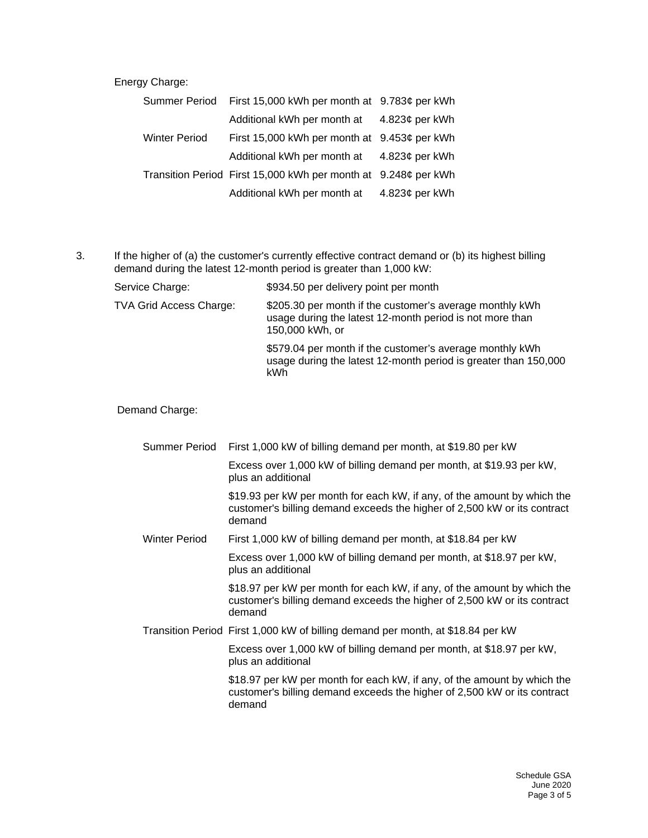Energy Charge:

| Summer Period | First 15,000 kWh per month at 9.783¢ per kWh                   |                  |
|---------------|----------------------------------------------------------------|------------------|
|               | Additional kWh per month at                                    | 4.823¢ per kWh   |
| Winter Period | First 15,000 kWh per month at 9.453¢ per kWh                   |                  |
|               | Additional kWh per month at                                    | $4.823c$ per kWh |
|               | Transition Period First 15,000 kWh per month at 9.248¢ per kWh |                  |
|               | Additional kWh per month at                                    | 4.823¢ per kWh   |

3. If the higher of (a) the customer's currently effective contract demand or (b) its highest billing demand during the latest 12-month period is greater than 1,000 kW:

Service Charge:  $$934.50$  per delivery point per month TVA Grid Access Charge: \$205.30 per month if the customer's average monthly kWh usage during the latest 12-month period is not more than 150,000 kWh, or \$579.04 per month if the customer's average monthly kWh usage during the latest 12-month period is greater than 150,000 kWh

Demand Charge:

| Summer Period        | First 1,000 kW of billing demand per month, at \$19.80 per kW                                                                                                  |
|----------------------|----------------------------------------------------------------------------------------------------------------------------------------------------------------|
|                      | Excess over 1,000 kW of billing demand per month, at \$19.93 per kW,<br>plus an additional                                                                     |
|                      | \$19.93 per kW per month for each kW, if any, of the amount by which the<br>customer's billing demand exceeds the higher of 2,500 kW or its contract<br>demand |
| <b>Winter Period</b> | First 1,000 kW of billing demand per month, at \$18.84 per kW                                                                                                  |
|                      | Excess over 1,000 kW of billing demand per month, at \$18.97 per kW,<br>plus an additional                                                                     |
|                      | \$18.97 per kW per month for each kW, if any, of the amount by which the<br>customer's billing demand exceeds the higher of 2,500 kW or its contract<br>demand |
|                      | Transition Period First 1,000 kW of billing demand per month, at \$18.84 per kW                                                                                |
|                      | Excess over 1,000 kW of billing demand per month, at \$18.97 per kW,<br>plus an additional                                                                     |
|                      | \$18.97 per kW per month for each kW, if any, of the amount by which the<br>customer's billing demand exceeds the higher of 2,500 kW or its contract<br>demand |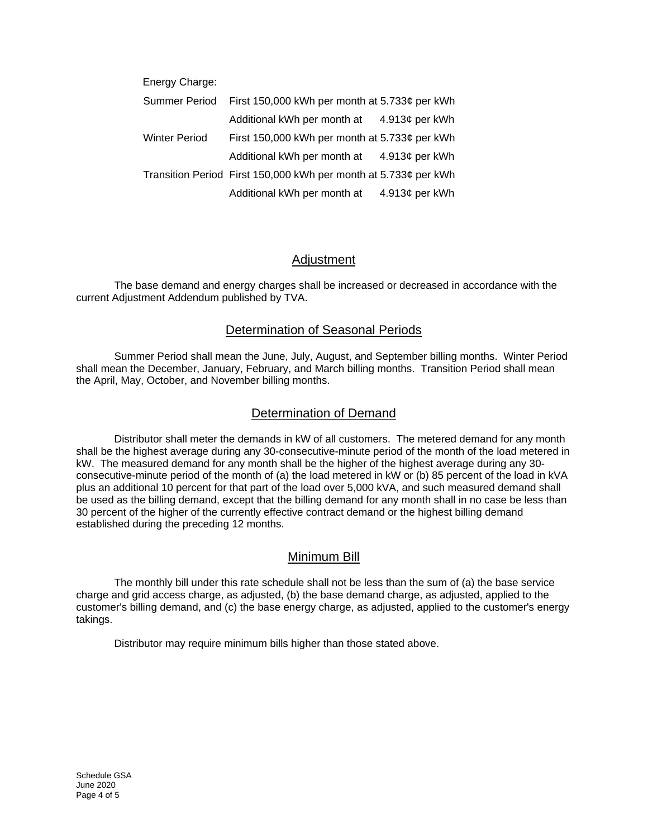| Energy Charge:       |                                                                 |                |
|----------------------|-----------------------------------------------------------------|----------------|
| <b>Summer Period</b> | First 150,000 kWh per month at 5.733¢ per kWh                   |                |
|                      | Additional kWh per month at                                     | 4.913¢ per kWh |
| <b>Winter Period</b> | First 150,000 kWh per month at $5.733¢$ per kWh                 |                |
|                      | Additional kWh per month at                                     | 4.913¢ per kWh |
|                      | Transition Period First 150,000 kWh per month at 5.733¢ per kWh |                |
|                      | Additional kWh per month at                                     | 4.913¢ per kWh |

# Adjustment

The base demand and energy charges shall be increased or decreased in accordance with the current Adjustment Addendum published by TVA.

# Determination of Seasonal Periods

Summer Period shall mean the June, July, August, and September billing months. Winter Period shall mean the December, January, February, and March billing months. Transition Period shall mean the April, May, October, and November billing months.

## Determination of Demand

Distributor shall meter the demands in kW of all customers. The metered demand for any month shall be the highest average during any 30-consecutive-minute period of the month of the load metered in kW. The measured demand for any month shall be the higher of the highest average during any 30 consecutive-minute period of the month of (a) the load metered in kW or (b) 85 percent of the load in kVA plus an additional 10 percent for that part of the load over 5,000 kVA, and such measured demand shall be used as the billing demand, except that the billing demand for any month shall in no case be less than 30 percent of the higher of the currently effective contract demand or the highest billing demand established during the preceding 12 months.

#### Minimum Bill

The monthly bill under this rate schedule shall not be less than the sum of (a) the base service charge and grid access charge, as adjusted, (b) the base demand charge, as adjusted, applied to the customer's billing demand, and (c) the base energy charge, as adjusted, applied to the customer's energy takings.

Distributor may require minimum bills higher than those stated above.